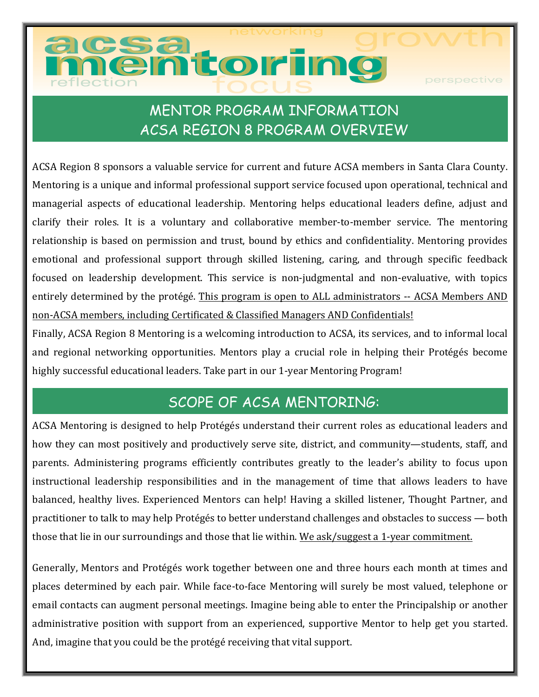# **nemtoring**

perspective

# MENTOR PROGRAM INFORMATION ACSA REGION 8 PROGRAM OVERVIEW

ACSA Region 8 sponsors a valuable service for current and future ACSA members in Santa Clara County. Mentoring is a unique and informal professional support service focused upon operational, technical and managerial aspects of educational leadership. Mentoring helps educational leaders define, adjust and clarify their roles. It is a voluntary and collaborative member-to-member service. The mentoring relationship is based on permission and trust, bound by ethics and confidentiality. Mentoring provides emotional and professional support through skilled listening, caring, and through specific feedback focused on leadership development. This service is non-judgmental and non-evaluative, with topics entirely determined by the protégé. This program is open to ALL administrators -- ACSA Members AND non-ACSA members, including Certificated & Classified Managers AND Confidentials!

Finally, ACSA Region 8 Mentoring is a welcoming introduction to ACSA, its services, and to informal local and regional networking opportunities. Mentors play a crucial role in helping their Protégés become highly successful educational leaders. Take part in our 1-year Mentoring Program!

## SCOPE OF ACSA MENTORING:

ACSA Mentoring is designed to help Protégés understand their current roles as educational leaders and how they can most positively and productively serve site, district, and community—students, staff, and parents. Administering programs efficiently contributes greatly to the leader's ability to focus upon instructional leadership responsibilities and in the management of time that allows leaders to have balanced, healthy lives. Experienced Mentors can help! Having a skilled listener, Thought Partner, and practitioner to talk to may help Protégés to better understand challenges and obstacles to success — both those that lie in our surroundings and those that lie within. We ask/suggest a 1-year commitment.

Generally, Mentors and Protégés work together between one and three hours each month at times and places determined by each pair. While face-to-face Mentoring will surely be most valued, telephone or email contacts can augment personal meetings. Imagine being able to enter the Principalship or another administrative position with support from an experienced, supportive Mentor to help get you started. And, imagine that you could be the protégé receiving that vital support.